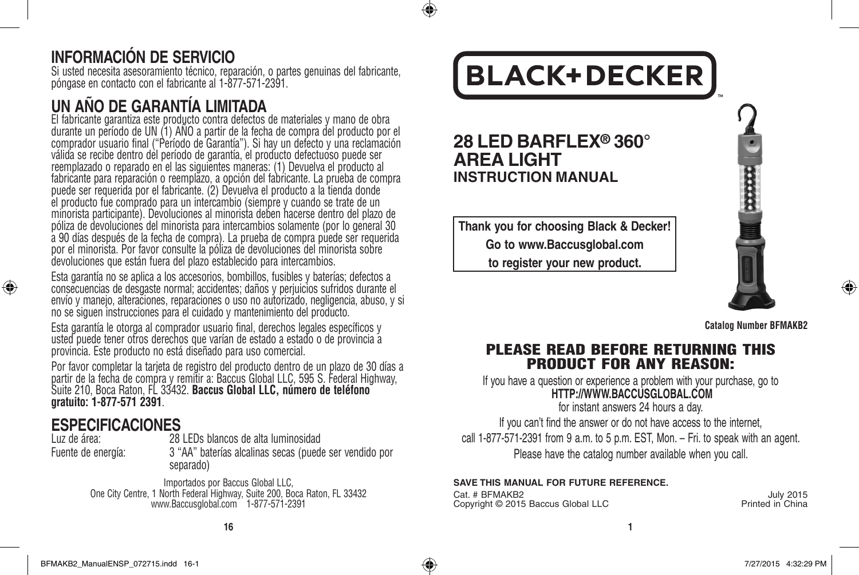## **INFORMACIÓN DE SERVICIO**

Si usted necesita asesoramiento técnico, reparación, o partes genuinas del fabricante, póngase en contacto con el fabricante al 1-877-571-2391.

## **UN AÑO DE GARANTÍA LIMITADA**

El fabricante garantiza este producto contra defectos de materiales y mano de obra durante un período de UN (1) AÑO a partir de la fecha de compra del producto por el comprador usuario final ("Período de Garantía"). Si hay un defecto y una reclamación válida se recibe dentro del período de garantía, el producto defectuoso puede ser reemplazado o reparado en el las siguientes maneras: (1) Devuelva el producto al fabricante para reparación o reemplazo, a opción del fabricante. La prueba de compra puede ser requerida por el fabricante. (2) Devuelva el producto a la tienda donde el producto fue comprado para un intercambio (siempre y cuando se trate de un minorista participante). Devoluciones al minorista deben hacerse dentro del plazo de póliza de devoluciones del minorista para intercambios solamente (por lo general 30 a 90 días después de la fecha de compra). La prueba de compra puede ser requerida por el minorista. Por favor consulte la póliza de devoluciones del minorista sobre devoluciones que están fuera del plazo establecido para intercambios.

Esta garantía no se aplica a los accesorios, bombillos, fusibles y baterías; defectos a consecuencias de desgaste normal; accidentes; daños y perjuicios sufridos durante el envío y manejo, alteraciones, reparaciones o uso no autorizado, negligencia, abuso, y si no se siguen instrucciones para el cuidado y mantenimiento del producto.

Esta garantía le otorga al comprador usuario final, derechos legales específicos y usted puede tener otros derechos que varían de estado a estado o de provincia a provincia. Este producto no está diseñado para uso comercial.

Por favor completar la tarjeta de registro del producto dentro de un plazo de 30 días a partir de la fecha de compra y remitir a: Baccus Global LLC, 595 S. Federal Highway, Suite 210, Boca Raton, FL 33432. **Baccus Global LLC, número de teléfono gratuito: 1-877-571 2391**.

## **ESPECIFICACIONES**

⊕

28 LEDs blancos de alta luminosidad Fuente de energía: 3 "AA" baterías alcalinas secas (puede ser vendido por

separado)

Importados por Baccus Global LLC, One City Centre, 1 North Federal Highway, Suite 200, Boca Raton, FL 33432 www.Baccusglobal.com 1-877-571-2391

## **BLACK+DECKER**

### **28 LED BARFLEX® 360° AREA LIGHT INSTRUCTION MANUAL**

⊕

**Thank you for choosing Black & Decker! Go to www.Baccusglobal.com**

**to register your new product.**

**Catalog Number BFMAKB2**

 $\bigoplus$ 

#### PLEASE READ BEFORE RETURNING THIS PRODUCT FOR ANY REASON:

If you have a question or experience a problem with your purchase, go to **HTTP://WWW.BACCUSGLOBAL.COM**

for instant answers 24 hours a day.

If you can't find the answer or do not have access to the internet, call 1-877-571-2391 from 9 a.m. to 5 p.m. EST, Mon. – Fri. to speak with an agent. Please have the catalog number available when you call.

#### **SAVE THIS MANUAL FOR FUTURE REFERENCE.**

Cat. # BFMAKB2 July 2015 Copyright © 2015 Baccus Global LLC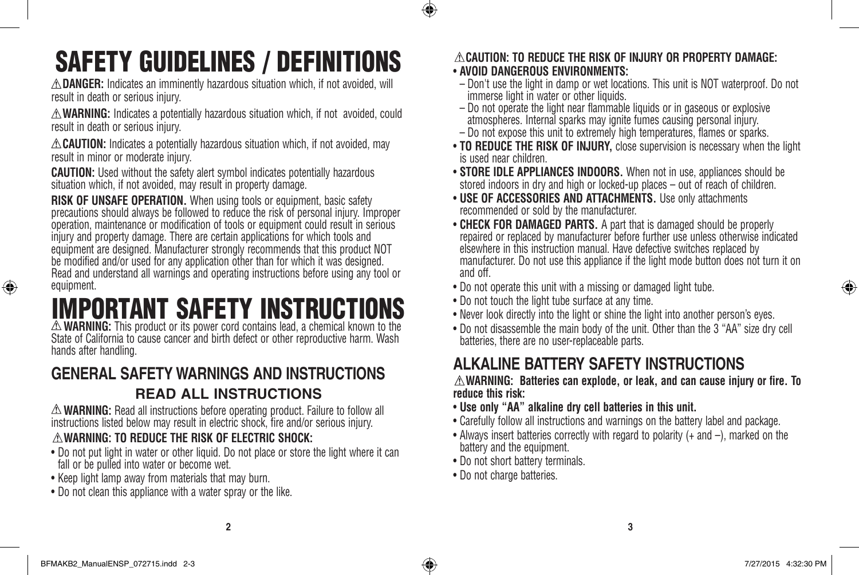## SAFETY GUIDELINES / DEFINITIONS

**DANGER:** Indicates an imminently hazardous situation which, if not avoided, will result in death or serious injury.

**WARNING:** Indicates a potentially hazardous situation which, if not avoided, could result in death or serious injury.

**A CAUTION:** Indicates a potentially hazardous situation which, if not avoided, may result in minor or moderate injury.

**CAUTION:** Used without the safety alert symbol indicates potentially hazardous situation which, if not avoided, may result in property damage.

**RISK OF UNSAFE OPERATION.** When using tools or equipment, basic safety precautions should always be followed to reduce the risk of personal injury. Improper operation, maintenance or modification of tools or equipment could result in serious injury and property damage. There are certain applications for which tools and equipment are designed. Manufacturer strongly recommends that this product NOT be modified and/or used for any application other than for which it was designed. Read and understand all warnings and operating instructions before using any tool or equipment.

### IMPORTANT SAFETY INSTRUCTIONS **WARNING:** This product or its power cord contains lead, a chemical known to the

State of California to cause cancer and birth defect or other reproductive harm. Wash hands after handling.

## **GENERAL SAFETY WARNINGS AND INSTRUCTIONS READ ALL INSTRUCTIONS**

**WARNING:** Read all instructions before operating product. Failure to follow all instructions listed below may result in electric shock, fire and/or serious injury.

#### **WARNING: TO REDUCE THE RISK OF ELECTRIC SHOCK:**

- Do not put light in water or other liquid. Do not place or store the light where it can fall or be pulled into water or become wet.
- Keep light lamp away from materials that may burn.
- Do not clean this appliance with a water spray or the like.

#### **CAUTION: TO REDUCE THE RISK OF INJURY OR PROPERTY DAMAGE:** • **AVOID DANGEROUS ENVIRONMENTS:**

- Don't use the light in damp or wet locations. This unit is NOT waterproof. Do not immerse light in water or other liquids.
- Do not operate the light near flammable liquids or in gaseous or explosive atmospheres. Internal sparks may ignite fumes causing personal injury. – Do not expose this unit to extremely high temperatures, flames or sparks.
- **TO REDUCE THE RISK OF INJURY,** close supervision is necessary when the light is used near children.
- **STORE IDLE APPLIANCES INDOORS.** When not in use, appliances should be stored indoors in dry and high or locked-up places – out of reach of children.
- **USE OF ACCESSORIES AND ATTACHMENTS.** Use only attachments recommended or sold by the manufacturer.
- **CHECK FOR DAMAGED PARTS.** A part that is damaged should be properly repaired or replaced by manufacturer before further use unless otherwise indicated elsewhere in this instruction manual. Have defective switches replaced by manufacturer. Do not use this appliance if the light mode button does not turn it on and off.
- Do not operate this unit with a missing or damaged light tube.
- Do not touch the light tube surface at any time.
- Never look directly into the light or shine the light into another person's eyes.
- Do not disassemble the main body of the unit. Other than the 3 "AA" size dry cell batteries, there are no user-replaceable parts.

## **ALKALINE BATTERY SAFETY INSTRUCTIONS**

**WARNING: Batteries can explode, or leak, and can cause injury or fire. To reduce this risk:**

- **Use only "AA" alkaline dry cell batteries in this unit.**
- Carefully follow all instructions and warnings on the battery label and package.
- Always insert batteries correctly with regard to polarity (+ and  $-$ ), marked on the battery and the equipment.
- Do not short battery terminals.
- Do not charge batteries.

 $\bigcirc$ 

♠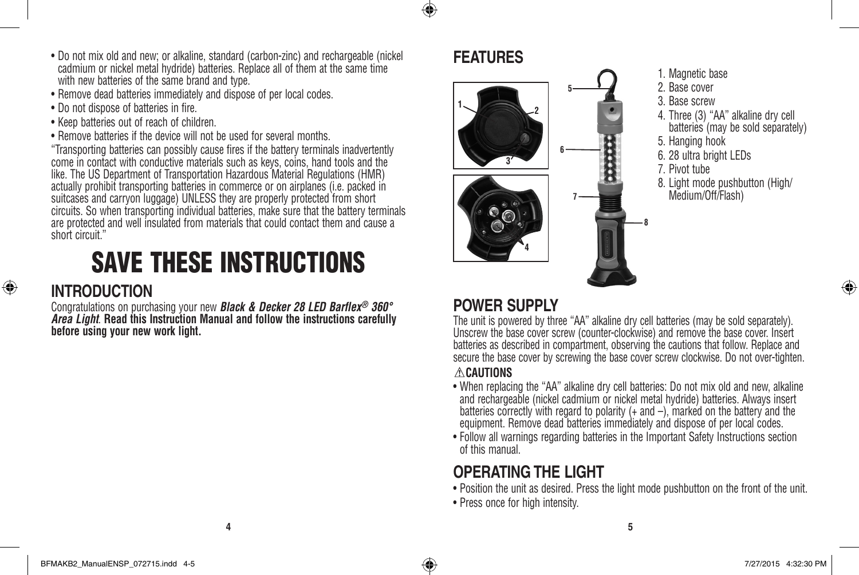- Do not mix old and new; or alkaline, standard (carbon-zinc) and rechargeable (nickel cadmium or nickel metal hydride) batteries. Replace all of them at the same time with new batteries of the same brand and type.
- Remove dead batteries immediately and dispose of per local codes.
- Do not dispose of batteries in fire.
- Keep batteries out of reach of children.
- Remove batteries if the device will not be used for several months.

"Transporting batteries can possibly cause fires if the battery terminals inadvertently come in contact with conductive materials such as keys, coins, hand tools and the like. The US Department of Transportation Hazardous Material Regulations (HMR) actually prohibit transporting batteries in commerce or on airplanes (i.e. packed in suitcases and carryon luggage) UNLESS they are properly protected from short circuits. So when transporting individual batteries, make sure that the battery terminals are protected and well insulated from materials that could contact them and cause a short circuit."

# SAVE THESE INSTRUCTIONS

## **INTRODUCTION**

⊕

Congratulations on purchasing your new *Black & Decker 28 LED Barflex® 360° Area Light*. **Read this Instruction Manual and follow the instructions carefully before using your new work light.** 

## **FEATURES**

 $\bigcirc$ 



- 1. Magnetic base
- 2. Base cover
- 3. Base screw
- 4. Three (3) "AA" alkaline dry cell batteries (may be sold separately)
- 5. Hanging hook
- 6. 28 ultra bright LEDs
- 7. Pivot tube
- 8. Light mode pushbutton (High/ Medium/Off/Flash)

## **POWER SUPPLY**

The unit is powered by three "AA" alkaline dry cell batteries (may be sold separately). Unscrew the base cover screw (counter-clockwise) and remove the base cover. Insert batteries as described in compartment, observing the cautions that follow. Replace and secure the base cover by screwing the base cover screw clockwise. Do not over-tighten.

**8**

#### **CAUTIONS**

- When replacing the "AA" alkaline dry cell batteries: Do not mix old and new, alkaline and rechargeable (nickel cadmium or nickel metal hydride) batteries. Always insert batteries correctly with regard to polarity  $(+$  and  $-)$ , marked on the battery and the equipment. Remove dead batteries immediately and dispose of per local codes.
- Follow all warnings regarding batteries in the Important Safety Instructions section of this manual.

## **OPERATING THE LIGHT**

- Position the unit as desired. Press the light mode pushbutton on the front of the unit.
- Press once for high intensity.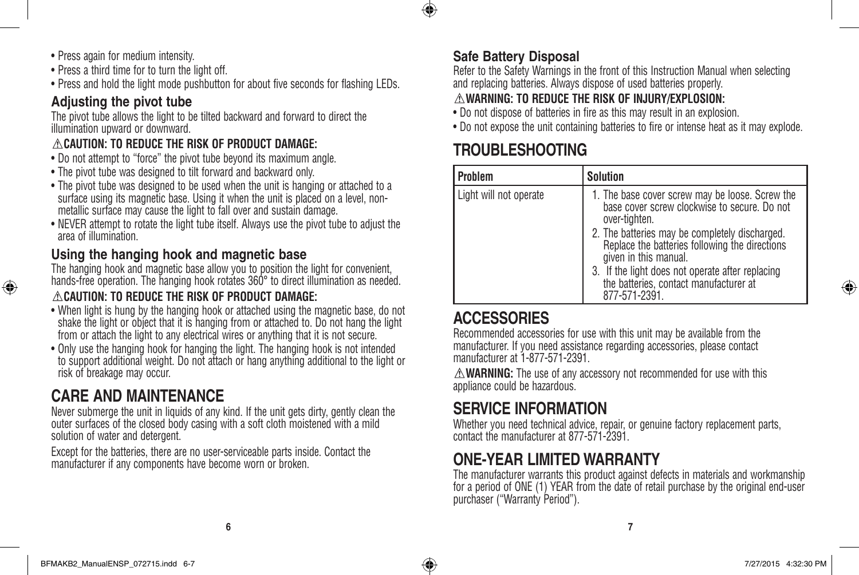- Press again for medium intensity.
- Press a third time for to turn the light off.
- Press and hold the light mode pushbutton for about five seconds for flashing LEDs.

#### **Adjusting the pivot tube**

♠

The pivot tube allows the light to be tilted backward and forward to direct the illumination upward or downward.

#### **CAUTION: TO REDUCE THE RISK OF PRODUCT DAMAGE:**

- Do not attempt to "force" the pivot tube beyond its maximum angle.
- The pivot tube was designed to tilt forward and backward only.
- The pivot tube was designed to be used when the unit is hanging or attached to a surface using its magnetic base. Using it when the unit is placed on a level, nonmetallic surface may cause the light to fall over and sustain damage.
- NEVER attempt to rotate the light tube itself. Always use the pivot tube to adjust the area of illumination.

#### **Using the hanging hook and magnetic base**

The hanging hook and magnetic base allow you to position the light for convenient, hands-free operation. The hanging hook rotates 360° to direct illumination as needed.

#### **CAUTION: TO REDUCE THE RISK OF PRODUCT DAMAGE:**

- When light is hung by the hanging hook or attached using the magnetic base, do not shake the light or object that it is hanging from or attached to. Do not hang the light from or attach the light to any electrical wires or anything that it is not secure.
- Only use the hanging hook for hanging the light. The hanging hook is not intended to support additional weight. Do not attach or hang anything additional to the light or risk of breakage may occur.

## **CARE AND MAINTENANCE**

Never submerge the unit in liquids of any kind. If the unit gets dirty, gently clean the outer surfaces of the closed body casing with a soft cloth moistened with a mild solution of water and detergent.

Except for the batteries, there are no user-serviceable parts inside. Contact the manufacturer if any components have become worn or broken.

#### **Safe Battery Disposal**

⊕

Refer to the Safety Warnings in the front of this Instruction Manual when selecting and replacing batteries. Always dispose of used batteries properly.

#### **WARNING: TO REDUCE THE RISK OF INJURY/EXPLOSION:**

- Do not dispose of batteries in fire as this may result in an explosion.
- Do not expose the unit containing batteries to fire or intense heat as it may explode.

### **TROUBLESHOOTING**

| l Problem              | <b>Solution</b>                                                                                                                                                                                                                                                                                                                                              |
|------------------------|--------------------------------------------------------------------------------------------------------------------------------------------------------------------------------------------------------------------------------------------------------------------------------------------------------------------------------------------------------------|
| Light will not operate | 1. The base cover screw may be loose. Screw the<br>base cover screw clockwise to secure. Do not<br>over-tighten.<br>2. The batteries may be completely discharged.<br>Replace the batteries following the directions<br>given in this manual.<br>3. If the light does not operate after replacing<br>the batteries, contact manufacturer at<br>877-571-2391. |

## **ACCESSORIES**

Recommended accessories for use with this unit may be available from the manufacturer. If you need assistance regarding accessories, please contact manufacturer at 1-877-571-2391.

**A WARNING:** The use of any accessory not recommended for use with this appliance could be hazardous.

## **SERVICE INFORMATION**

Whether you need technical advice, repair, or genuine factory replacement parts, contact the manufacturer at 877-571-2391.

## **ONE-YEAR LIMITED WARRANTY**

The manufacturer warrants this product against defects in materials and workmanship for a period of ONE (1) YEAR from the date of retail purchase by the original end-user purchaser ("Warranty Period").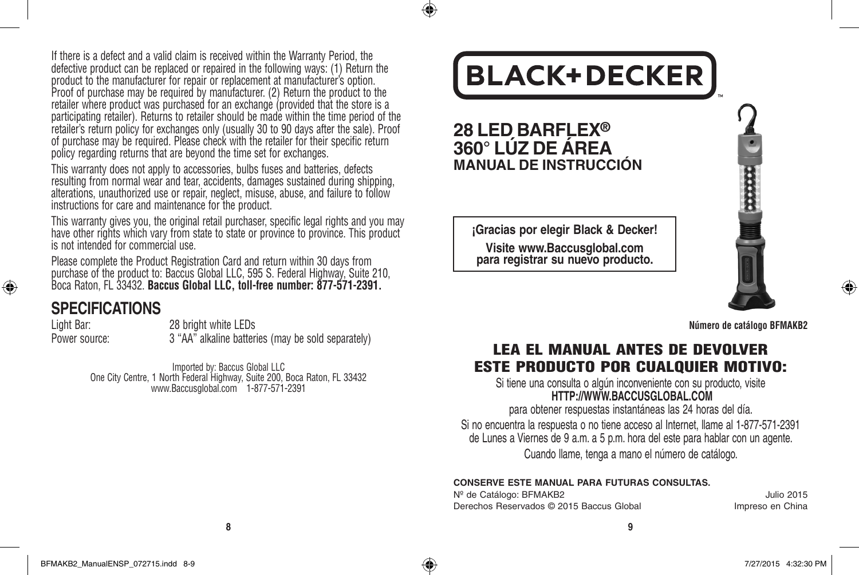If there is a defect and a valid claim is received within the Warranty Period, the defective product can be replaced or repaired in the following ways: (1) Return the product to the manufacturer for repair or replacement at manufacturer's option. Proof of purchase may be required by manufacturer. (2) Return the product to the retailer where product was purchased for an exchange (provided that the store is a participating retailer). Returns to retailer should be made within the time period of the retailer's return policy for exchanges only (usually 30 to 90 days after the sale). Proof of purchase may be required. Please check with the retailer for their specific return policy regarding returns that are beyond the time set for exchanges.

This warranty does not apply to accessories, bulbs fuses and batteries, defects resulting from normal wear and tear, accidents, damages sustained during shipping, alterations, unauthorized use or repair, neglect, misuse, abuse, and failure to follow instructions for care and maintenance for the product.

This warranty gives you, the original retail purchaser, specific legal rights and you may have other rights which vary from state to state or province to province. This product is not intended for commercial use.

Please complete the Product Registration Card and return within 30 days from purchase of the product to: Baccus Global LLC, 595 S. Federal Highway, Suite 210, Boca Raton, FL 33432. **Baccus Global LLC, toll-free number: 877-571-2391.** 

#### **SPECIFICATIONS**

♠

Light Bar: 28 bright white LEDs Power source: 3 "AA" alkaline batteries (may be sold separately)

> Imported by: Baccus Global LLC One City Centre, 1 North Federal Highway, Suite 200, Boca Raton, FL 33432 www.Baccusglobal.com 1-877-571-2391

# **BLACK+DECKER**

**28 LED BARFLEX® 360° LÚZ DE ÁREA MANUAL DE INSTRUCCIÓN**

◈

**¡Gracias por elegir Black & Decker! Visite www.Baccusglobal.com para registrar su nuevo producto.**



**Número de catálogo BFMAKB2**

⊕

#### LEA EL MANUAL ANTES DE DEVOLVER ESTE PRODUCTO POR CUALQUIER MOTIVO:

Si tiene una consulta o algún inconveniente con su producto, visite **HTTP://WWW.BACCUSGLOBAL.COM**

para obtener respuestas instantáneas las 24 horas del día. Si no encuentra la respuesta o no tiene acceso al Internet, llame al 1-877-571-2391 de Lunes a Viernes de 9 a.m. a 5 p.m. hora del este para hablar con un agente. Cuando llame, tenga a mano el número de catálogo.

#### **CONSERVE ESTE MANUAL PARA FUTURAS CONSULTAS.**

Nº de Catálogo: BFMAKB2 Julio 2015 Derechos Reservados © 2015 Baccus Global **Impreso en China**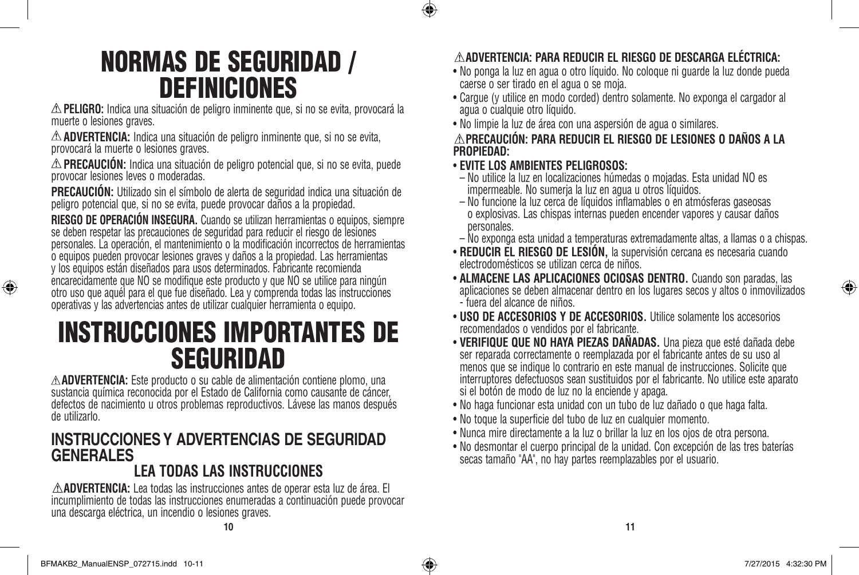## NORMAS DE SEGURIDAD / DEFINICIONES

**PELIGRO:** Indica una situación de peligro inminente que, si no se evita, provocará la muerte o lesiones graves.

**ADVERTENCIA:** Indica una situación de peligro inminente que, si no se evita, provocará la muerte o lesiones graves.

**PRECAUCIÓN:** Indica una situación de peligro potencial que, si no se evita, puede provocar lesiones leves o moderadas.

**PRECAUCIÓN:** Utilizado sin el símbolo de alerta de seguridad indica una situación de peligro potencial que, si no se evita, puede provocar daños a la propiedad.

**RIESGO DE OPERACIÓN INSEGURA.** Cuando se utilizan herramientas o equipos, siempre se deben respetar las precauciones de seguridad para reducir el riesgo de lesiones personales. La operación, el mantenimiento o la modificación incorrectos de herramientas o equipos pueden provocar lesiones graves y daños a la propiedad. Las herramientas y los equipos están diseñados para usos determinados. Fabricante recomienda encarecidamente que NO se modifique este producto y que NO se utilice para ningún otro uso que aquél para el que fue diseñado. Lea y comprenda todas las instrucciones operativas y las advertencias antes de utilizar cualquier herramienta o equipo.

## INSTRUCCIONES IMPORTANTES DE SEGURIDAD

**ADVERTENCIA:** Este producto o su cable de alimentación contiene plomo, una sustancia química reconocida por el Estado de California como causante de cáncer, defectos de nacimiento u otros problemas reproductivos. Lávese las manos después de utilizarlo.

## **INSTRUCCIONES Y ADVERTENCIAS DE SEGURIDAD GENERALES**

## **LEA TODAS LAS INSTRUCCIONES**

**ADVERTENCIA:** Lea todas las instrucciones antes de operar esta luz de área. El incumplimiento de todas las instrucciones enumeradas a continuación puede provocar una descarga eléctrica, un incendio o lesiones graves.

#### **ADVERTENCIA: PARA REDUCIR EL RIESGO DE DESCARGA ELÉCTRICA:**

- No ponga la luz en agua o otro líquido. No coloque ni guarde la luz donde pueda caerse o ser tirado en el agua o se moja.
- Cargue (y utilice en modo corded) dentro solamente. No exponga el cargador al agua o cualquie otro líquido.
- No limpie la luz de área con una aspersión de agua o similares.

#### **PRECAUCIÓN: PARA REDUCIR EL RIESGO DE LESIONES O DAÑOS A LA PROPIEDAD:**

• **EVITE LOS AMBIENTES PELIGROSOS:**

 $\bigcirc$ 

- No utilice la luz en localizaciones húmedas o mojadas. Esta unidad NO es impermeable. No sumerja la luz en agua u otros líquidos.
- No funcione la luz cerca de líquidos inflamables o en atmósferas gaseosas o explosivas. Las chispas internas pueden encender vapores y causar daños personales.
- No exponga esta unidad a temperaturas extremadamente altas, a llamas o a chispas.
- **REDUCIR EL RIESGO DE LESIÓN,** la supervisión cercana es necesaria cuando electrodomésticos se utilizan cerca de niños.
- **ALMACENE LAS APLICACIONES OCIOSAS DENTRO.** Cuando son paradas, las aplicaciones se deben almacenar dentro en los lugares secos y altos o inmovilizados - fuera del alcance de niños.
- **USO DE ACCESORIOS Y DE ACCESORIOS.** Utilice solamente los accesorios recomendados o vendidos por el fabricante.
- **VERIFIQUE QUE NO HAYA PIEZAS DAÑADAS.** Una pieza que esté dañada debe ser reparada correctamente o reemplazada por el fabricante antes de su uso al menos que se indique lo contrario en este manual de instrucciones. Solicite que interruptores defectuosos sean sustituidos por el fabricante. No utilice este aparato si el botón de modo de luz no la enciende y apaga.
- No haga funcionar esta unidad con un tubo de luz dañado o que haga falta.
- No toque la superficie del tubo de luz en cualquier momento.
- Nunca mire directamente a la luz o brillar la luz en los ojos de otra persona.
- No desmontar el cuerpo principal de la unidad. Con excepción de las tres baterías secas tamaño "AA", no hay partes reemplazables por el usuario.

⊕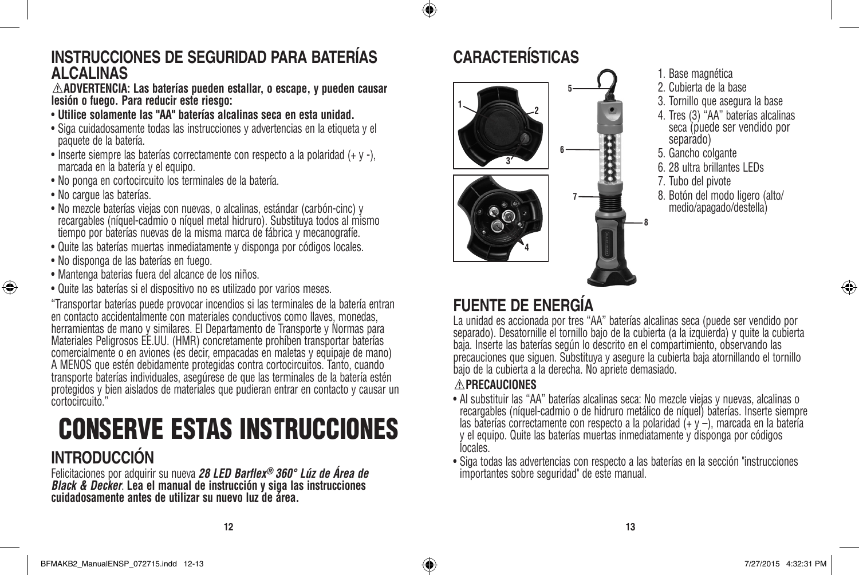#### **INSTRUCCIONES DE SEGURIDAD PARA BATERÍAS ALCALINAS**

**ADVERTENCIA: Las baterías pueden estallar, o escape, y pueden causar lesión o fuego. Para reducir este riesgo:**

- **Utilice solamente las "AA" baterías alcalinas seca en esta unidad.**
- Siga cuidadosamente todas las instrucciones y advertencias en la etiqueta y el paquete de la batería.
- Inserte siempre las baterías correctamente con respecto a la polaridad (+ y -), marcada en la batería y el equipo.
- No ponga en cortocircuito los terminales de la batería.
- No cargue las baterías.

♠

- No mezcle baterías viejas con nuevas, o alcalinas, estándar (carbón-cinc) y recargables (níquel-cadmio o níquel metal hidruro). Substituya todos al mismo tiempo por baterías nuevas de la misma marca de fábrica y mecanografíe.
- Quite las baterías muertas inmediatamente y disponga por códigos locales.
- No disponga de las baterías en fuego.
- Mantenga baterias fuera del alcance de los niños.
- Quite las baterías si el dispositivo no es utilizado por varios meses.

"Transportar baterías puede provocar incendios si las terminales de la batería entran en contacto accidentalmente con materiales conductivos como llaves, monedas, herramientas de mano y similares. El Departamento de Transporte y Normas para Materiales Peligrosos EE.UU. (HMR) concretamente prohíben transportar baterías comercialmente o en aviones (es decir, empacadas en maletas y equipaje de mano) A MENOS que estén debidamente protegidas contra cortocircuitos. Tanto, cuando transporte baterías individuales, asegúrese de que las terminales de la batería estén protegidos y bien aislados de materiales que pudieran entrar en contacto y causar un cortocircuito."

# CONSERVE ESTAS INSTRUCCIONES

## **INTRODUCCIÓN**

Felicitaciones por adquirir su nueva *28 LED Barflex® 360° Lúz de Área de Black & Decker*. **Lea el manual de instrucción y siga las instrucciones cuidadosamente antes de utilizar su nuevo luz de área.**

## **CARACTERÍSTICAS**

 $\bigcirc$ 



- 1. Base magnética
- 2. Cubierta de la base
- 3. Tornillo que asegura la base
- 4. Tres (3) "AA" baterías alcalinas seca (puede ser vendido por separado)
- 5. Gancho colgante
- 6. 28 ultra brillantes LEDs
- 7. Tubo del pivote
- 8. Botón del modo ligero (alto/ medio/apagado/destella)

## **FUENTE DE ENERGÍA**

La unidad es accionada por tres "AA" baterías alcalinas seca (puede ser vendido por separado). Desatornille el tornillo bajo de la cubierta (a la izquierda) y quite la cubierta baja. Inserte las baterías según lo descrito en el compartimiento, observando las precauciones que siguen. Substituya y asegure la cubierta baja atornillando el tornillo bajo de la cubierta a la derecha. No apriete demasiado.

**8**

#### **PRECAUCIONES**

- Al substituir las "AA" baterías alcalinas seca: No mezcle viejas y nuevas, alcalinas o recargables (níquel-cadmio o de hidruro metálico de níquel) baterías. Inserte siempre las baterías correctamente con respecto a la polaridad (+ y –), marcada en la batería y el equipo. Quite las baterías muertas inmediatamente y disponga por códigos locales.
- Siga todas las advertencias con respecto a las baterías en la sección "instrucciones importantes sobre seguridad" de este manual.